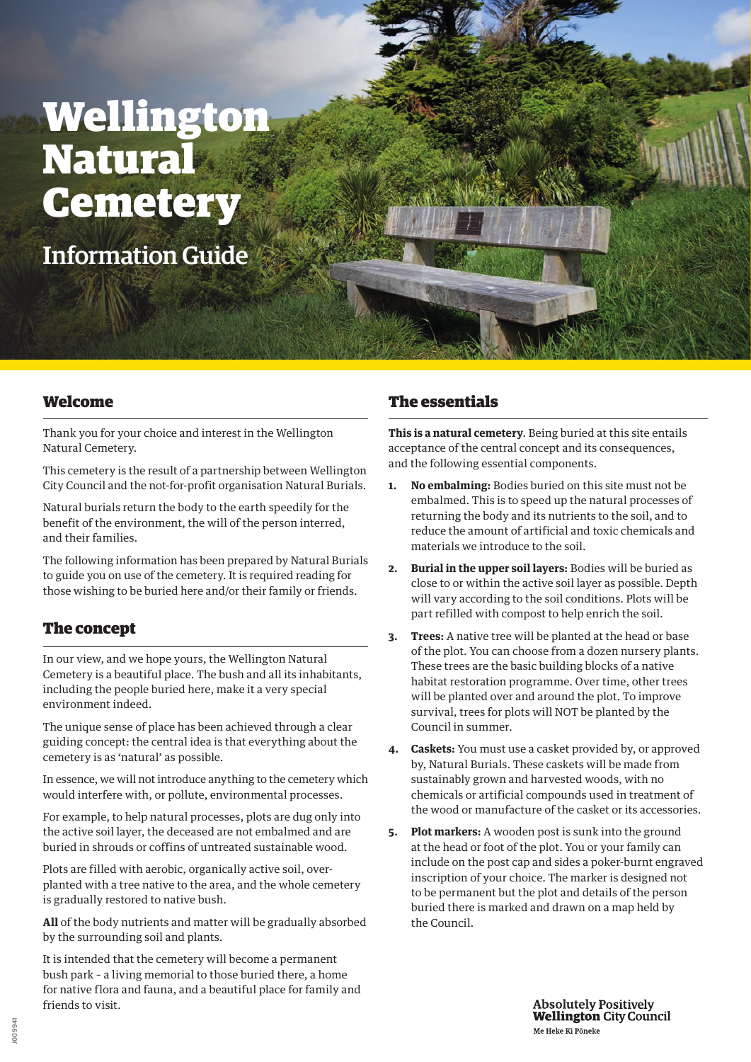# Wellington Natural **Cemetery**

Information Guide

#### Welcome

Thank you for your choice and interest in the Wellington Natural Cemetery.

This cemetery is the result of a partnership between Wellington City Council and the not-for-profit organisation Natural Burials.

Natural burials return the body to the earth speedily for the benefit of the environment, the will of the person interred, and their families.

The following information has been prepared by Natural Burials to guide you on use of the cemetery. It is required reading for those wishing to be buried here and/or their family or friends.

# The concept

In our view, and we hope yours, the Wellington Natural Cemetery is a beautiful place. The bush and all its inhabitants, including the people buried here, make it a very special environment indeed.

The unique sense of place has been achieved through a clear guiding concept: the central idea is that everything about the cemetery is as 'natural' as possible.

In essence, we will not introduce anything to the cemetery which would interfere with, or pollute, environmental processes.

For example, to help natural processes, plots are dug only into the active soil layer, the deceased are not embalmed and are buried in shrouds or coffins of untreated sustainable wood.

Plots are filled with aerobic, organically active soil, overplanted with a tree native to the area, and the whole cemetery is gradually restored to native bush.

**All** of the body nutrients and matter will be gradually absorbed by the surrounding soil and plants.

It is intended that the cemetery will become a permanent bush park – a living memorial to those buried there, a home for native flora and fauna, and a beautiful place for family and friends to visit.

## The essentials

**This is a natural cemetery**. Being buried at this site entails acceptance of the central concept and its consequences, and the following essential components.

- **1. No embalming:** Bodies buried on this site must not be embalmed. This is to speed up the natural processes of returning the body and its nutrients to the soil, and to reduce the amount of artificial and toxic chemicals and materials we introduce to the soil.
- **2. Burial in the upper soil layers:** Bodies will be buried as close to or within the active soil layer as possible. Depth will vary according to the soil conditions. Plots will be part refilled with compost to help enrich the soil.
- **3. Trees:** A native tree will be planted at the head or base of the plot. You can choose from a dozen nursery plants. These trees are the basic building blocks of a native habitat restoration programme. Over time, other trees will be planted over and around the plot. To improve survival, trees for plots will NOT be planted by the Council in summer.
- **4. Caskets:** You must use a casket provided by, or approved by, Natural Burials. These caskets will be made from sustainably grown and harvested woods, with no chemicals or artificial compounds used in treatment of the wood or manufacture of the casket or its accessories.
- **5. Plot markers:** A wooden post is sunk into the ground at the head or foot of the plot. You or your family can include on the post cap and sides a poker-burnt engraved inscription of your choice. The marker is designed not to be permanent but the plot and details of the person buried there is marked and drawn on a map held by the Council.

**Absolutely Positively Wellington City Council** Me Heke Ki Põneke